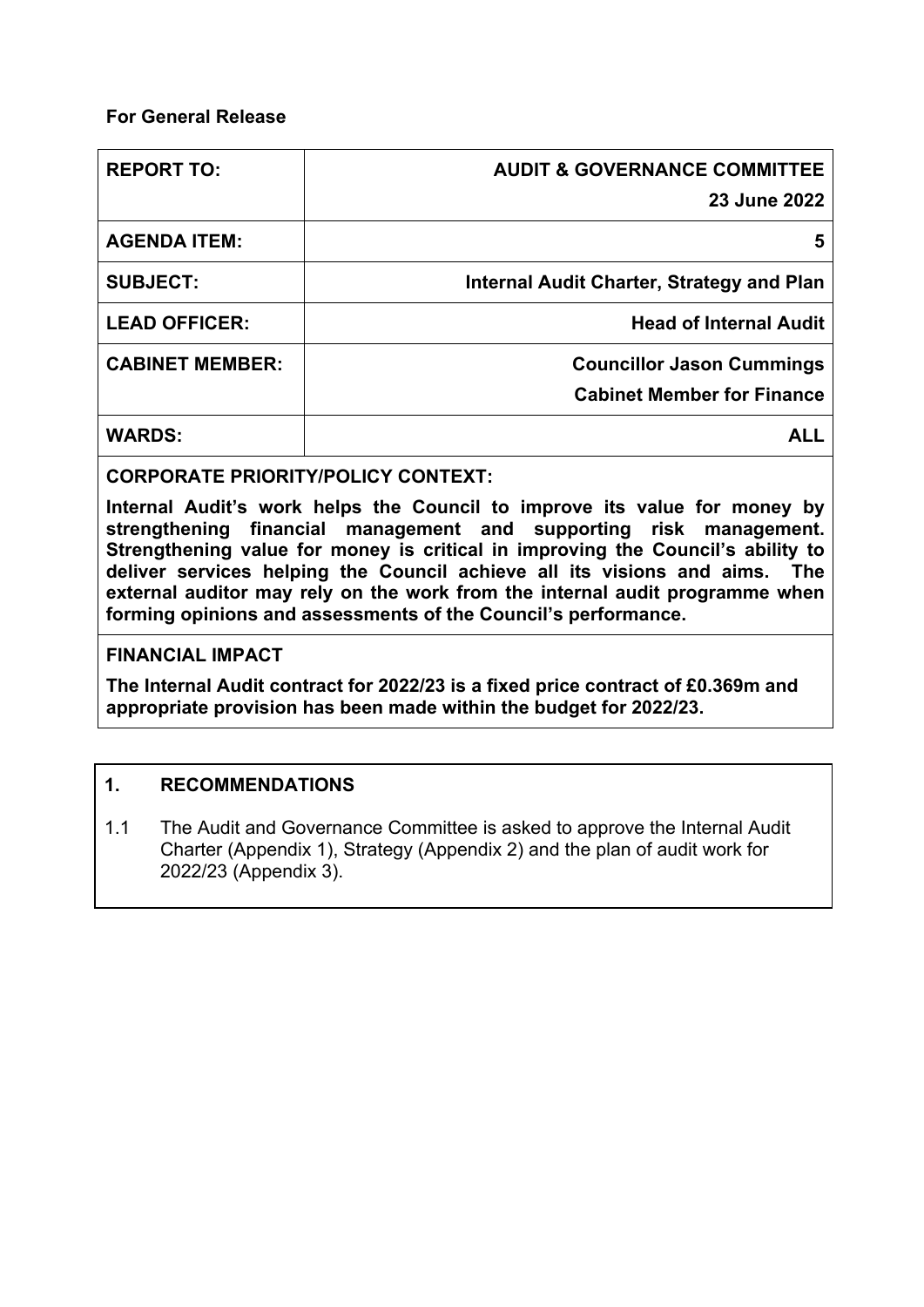### **For General Release**

| <b>REPORT TO:</b>      | <b>AUDIT &amp; GOVERNANCE COMMITTEE</b>   |
|------------------------|-------------------------------------------|
|                        | 23 June 2022                              |
| <b>AGENDA ITEM:</b>    | 5                                         |
| <b>SUBJECT:</b>        | Internal Audit Charter, Strategy and Plan |
| <b>LEAD OFFICER:</b>   | <b>Head of Internal Audit</b>             |
| <b>CABINET MEMBER:</b> | <b>Councillor Jason Cummings</b>          |
|                        | <b>Cabinet Member for Finance</b>         |
| <b>WARDS:</b>          |                                           |

**CORPORATE PRIORITY/POLICY CONTEXT:**

**Internal Audit's work helps the Council to improve its value for money by strengthening financial management and supporting risk management. Strengthening value for money is critical in improving the Council's ability to deliver services helping the Council achieve all its visions and aims. The external auditor may rely on the work from the internal audit programme when forming opinions and assessments of the Council's performance.**

#### **FINANCIAL IMPACT**

**The Internal Audit contract for 2022/23 is a fixed price contract of £0.369m and appropriate provision has been made within the budget for 2022/23.** 

## **1. RECOMMENDATIONS**

1.1 The Audit and Governance Committee is asked to approve the Internal Audit Charter (Appendix 1), Strategy (Appendix 2) and the plan of audit work for 2022/23 (Appendix 3).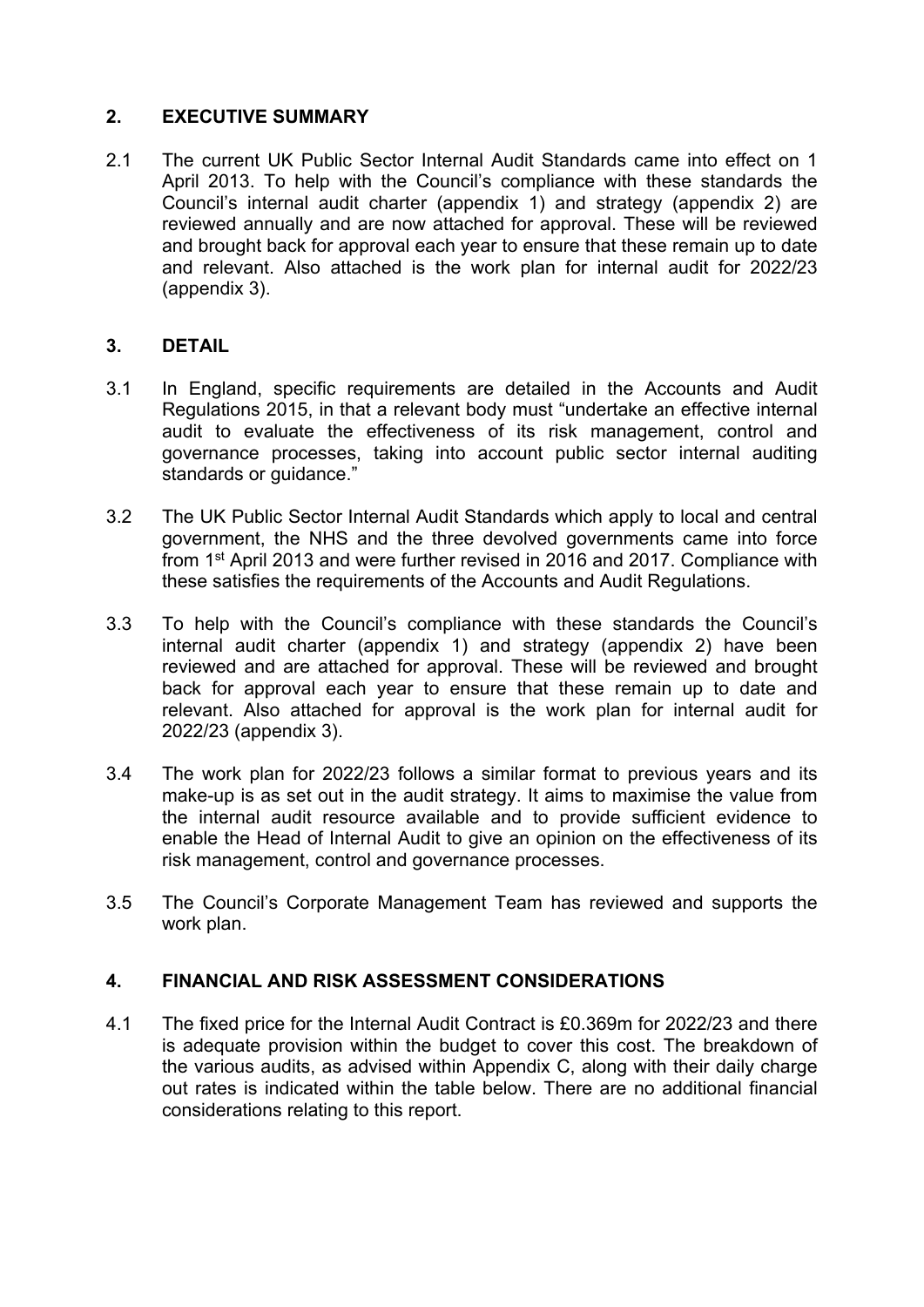## **2. EXECUTIVE SUMMARY**

2.1 The current UK Public Sector Internal Audit Standards came into effect on 1 April 2013. To help with the Council's compliance with these standards the Council's internal audit charter (appendix 1) and strategy (appendix 2) are reviewed annually and are now attached for approval. These will be reviewed and brought back for approval each year to ensure that these remain up to date and relevant. Also attached is the work plan for internal audit for 2022/23 (appendix 3).

## **3. DETAIL**

- 3.1 In England, specific requirements are detailed in the Accounts and Audit Regulations 2015, in that a relevant body must "undertake an effective internal audit to evaluate the effectiveness of its risk management, control and governance processes, taking into account public sector internal auditing standards or guidance."
- 3.2 The UK Public Sector Internal Audit Standards which apply to local and central government, the NHS and the three devolved governments came into force from 1<sup>st</sup> April 2013 and were further revised in 2016 and 2017. Compliance with these satisfies the requirements of the Accounts and Audit Regulations.
- 3.3 To help with the Council's compliance with these standards the Council's internal audit charter (appendix 1) and strategy (appendix 2) have been reviewed and are attached for approval. These will be reviewed and brought back for approval each year to ensure that these remain up to date and relevant. Also attached for approval is the work plan for internal audit for 2022/23 (appendix 3).
- 3.4 The work plan for 2022/23 follows a similar format to previous years and its make-up is as set out in the audit strategy. It aims to maximise the value from the internal audit resource available and to provide sufficient evidence to enable the Head of Internal Audit to give an opinion on the effectiveness of its risk management, control and governance processes.
- 3.5 The Council's Corporate Management Team has reviewed and supports the work plan.

## **4. FINANCIAL AND RISK ASSESSMENT CONSIDERATIONS**

4.1 The fixed price for the Internal Audit Contract is £0.369m for 2022/23 and there is adequate provision within the budget to cover this cost. The breakdown of the various audits, as advised within Appendix C, along with their daily charge out rates is indicated within the table below. There are no additional financial considerations relating to this report.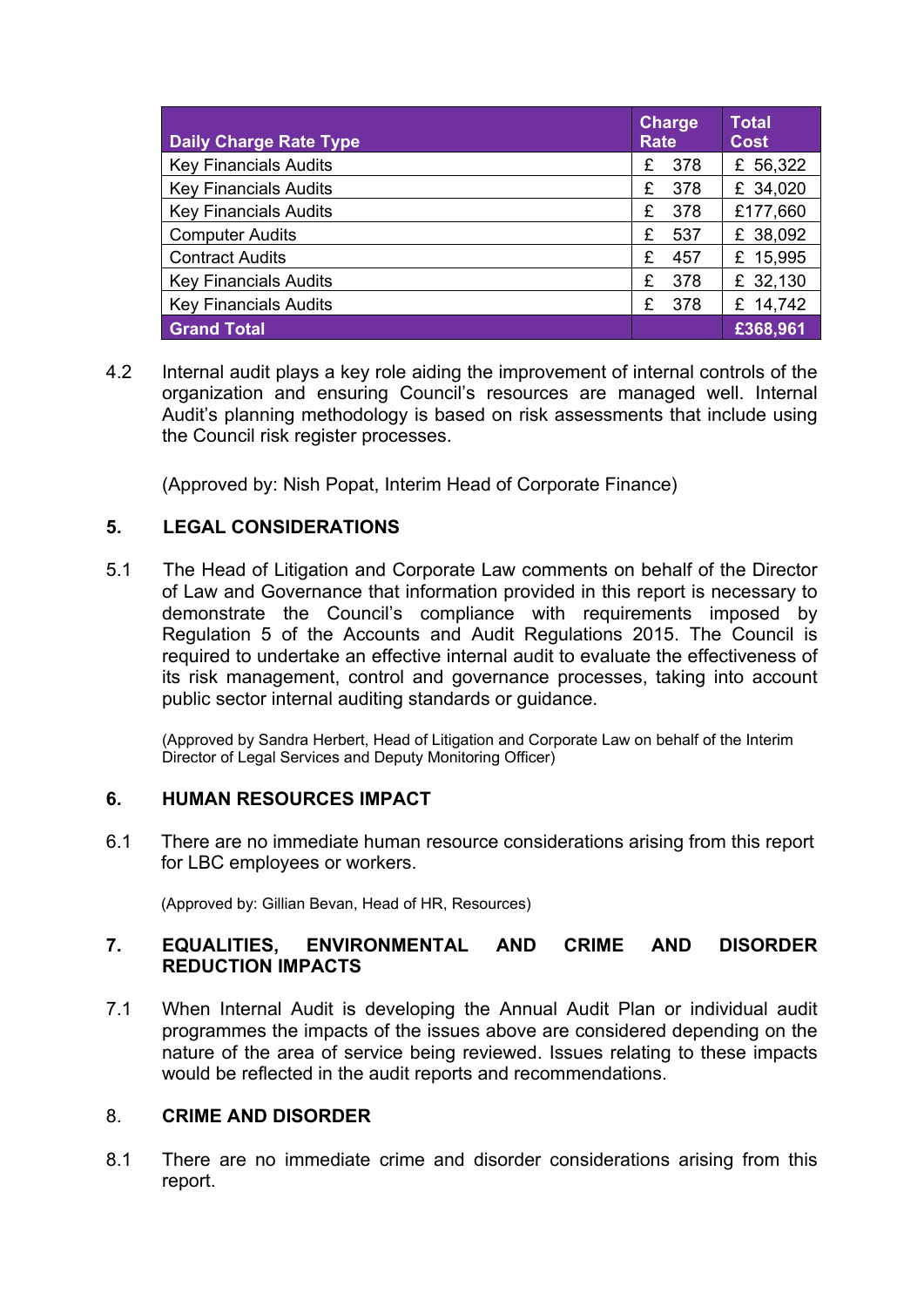| <b>Daily Charge Rate Type</b> | <b>Charge</b><br><b>Rate</b> | <b>Total</b><br><b>Cost</b> |
|-------------------------------|------------------------------|-----------------------------|
| <b>Key Financials Audits</b>  | 378<br>£                     | £ 56,322                    |
| <b>Key Financials Audits</b>  | 378<br>£                     | £ 34,020                    |
| <b>Key Financials Audits</b>  | £<br>378                     | £177,660                    |
| <b>Computer Audits</b>        | £<br>537                     | £ 38,092                    |
| <b>Contract Audits</b>        | £<br>457                     | £ 15,995                    |
| <b>Key Financials Audits</b>  | £<br>378                     | £ 32,130                    |
| <b>Key Financials Audits</b>  | £<br>378                     | £ 14,742                    |
| <b>Grand Total</b>            |                              | £368,961                    |

4.2 Internal audit plays a key role aiding the improvement of internal controls of the organization and ensuring Council's resources are managed well. Internal Audit's planning methodology is based on risk assessments that include using the Council risk register processes.

(Approved by: Nish Popat, Interim Head of Corporate Finance)

## **5. LEGAL CONSIDERATIONS**

5.1 The Head of Litigation and Corporate Law comments on behalf of the Director of Law and Governance that information provided in this report is necessary to demonstrate the Council's compliance with requirements imposed by Regulation 5 of the Accounts and Audit Regulations 2015. The Council is required to undertake an effective internal audit to evaluate the effectiveness of its risk management, control and governance processes, taking into account public sector internal auditing standards or guidance.

(Approved by Sandra Herbert, Head of Litigation and Corporate Law on behalf of the Interim Director of Legal Services and Deputy Monitoring Officer)

#### **6. HUMAN RESOURCES IMPACT**

6.1 There are no immediate human resource considerations arising from this report for LBC employees or workers.

(Approved by: Gillian Bevan, Head of HR, Resources)

#### **7. EQUALITIES, ENVIRONMENTAL AND CRIME AND DISORDER REDUCTION IMPACTS**

7.1 When Internal Audit is developing the Annual Audit Plan or individual audit programmes the impacts of the issues above are considered depending on the nature of the area of service being reviewed. Issues relating to these impacts would be reflected in the audit reports and recommendations.

#### 8. **CRIME AND DISORDER**

8.1 There are no immediate crime and disorder considerations arising from this report.